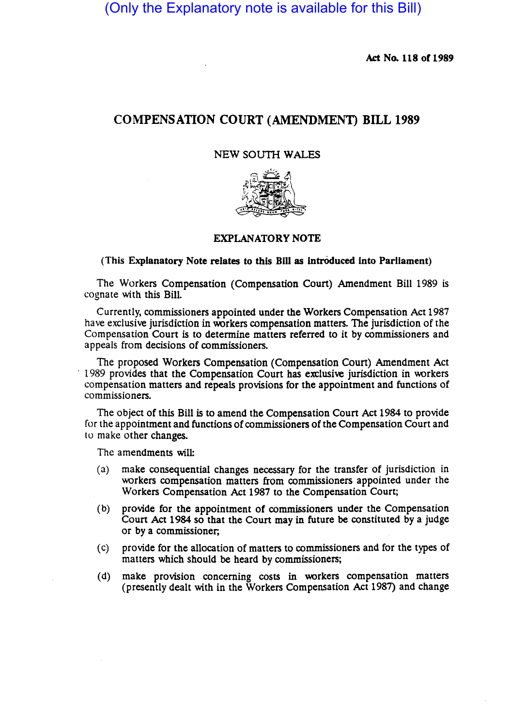(Only the Explanatory note is available for this Bill)

Act No. 118 of 1989

# COMPENSATION COURT (AMENDMENT) BILL 1989

### NEW SOUTH WALES



## EXPLANATORY NOTE

#### (This Explanatory Note relates to this Bill as introduced into Parliament)

The Workers Compensation (Compensation Court) Amendment Bill 1989 is cognate with this Bill.

Currently, commissioners appointed under the Workers Compensation Act 1987 have exclusive jurisdiction in workers compensation matters. The jurisdiction of the Compensation Court is to determine matters referred to it by commissioners and appeals from decisions of commissioners.

The proposed Workers Compensation (Compensation Court) Amendment Act . 1989 provides that the Compensation Court has exclusive jurisdiction in workers compensation matters and repeals prOvisions for the appointment and functions of commissioners.

The Object of this Bill is to amend the Compensation Court Act 1984 to provide for the appointment and functions of commissioners of the Compensation Court and to make other changes.

The amendments will:

- (a) make consequential changes necessary for the transfer of jurisdiction in workers compensation matters from commissioners appointed under the Workers Compensation Act 1987 to the Compensation Court;
- (b) provide for the appointment of commissioners under the Compensation Court Act 1984 so that the Court may in future be constituted by a judge or by a commissioner;
- (c) provide for the allocation of matters to commissioners and for the types of matters which should be heard by commissioners;
- (d) make provision concerning costs in workers compensation matters (presently dealt with in the Workers Compensation Act 1987) and change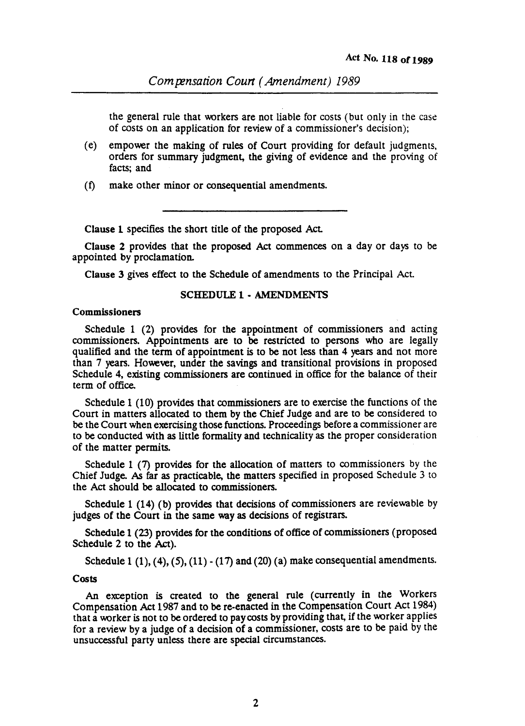the general rule that workers are not liable for costs (but only in the case of costs on an application for review of a commissioner's decision);

- (e) empower the making of rules of Court providing for default judgments. orders for summary judgment, the giving of evidence and the proving of facts; and
- (t) make other minor or consequential amendments.

Clause 1 specifies the short title of the proposed Act.

Clause 2 provides that the proposed Act commences on a day or days to be appointed by proclamation.

Clause 3 gives effect to the Schedule of amendments to the Principal Act.

#### SCHEDULE 1- AMENDMENTS

#### Commissioners

Schedule 1 (2) provides for the appointment of commissioners and acting commissioners. Appointments are to be restricted to persons who are legally qualified and the term of appointment is to be not less than 4 years and not more than 7 years. However, under the savings and transitional provisions in proposed Schedule 4, existing commissioners are continued in office for the balance of their term of office.

Schedule 1 (10) provides that commissioners are to exercise the functions of the Court in matters allocated to them by the Chief Judge and are to be considered to be the Court when exercising those functions. Proceedings before a commissioner are to be conducted with as little formality and technicality as the proper consideration of the matter permits.

Schedule 1 (7) provides for the allocation of matters to commissioners by the Chief Judge. *As* far as practicable, the matters specified in proposed Schedule 3 to the Act should be allocated to commissioners.

Schedule 1 (14) (b) provides that decisions of commissioners are reviewable by judges of the Court in the same way as decisions of registrars.

Schedule 1 (23) provides for the conditions of office of commissioners (proposed Schedule 2 to the Act).

Schedule 1  $(1)$ ,  $(4)$ ,  $(5)$ ,  $(11)$  -  $(17)$  and  $(20)$   $(a)$  make consequential amendments.

#### Costs

An exception is created to the general rule (currently in the Workers Compensation Act 1987 and to be re-enacted in the Compensation Court Act 1984) that a worker is not to be ordered to pay costs by providing that, if the worker applies for a review by a judge of a decision of a commissioner, costs are to be paid by the unsuccessful party unless there are special circumstances.